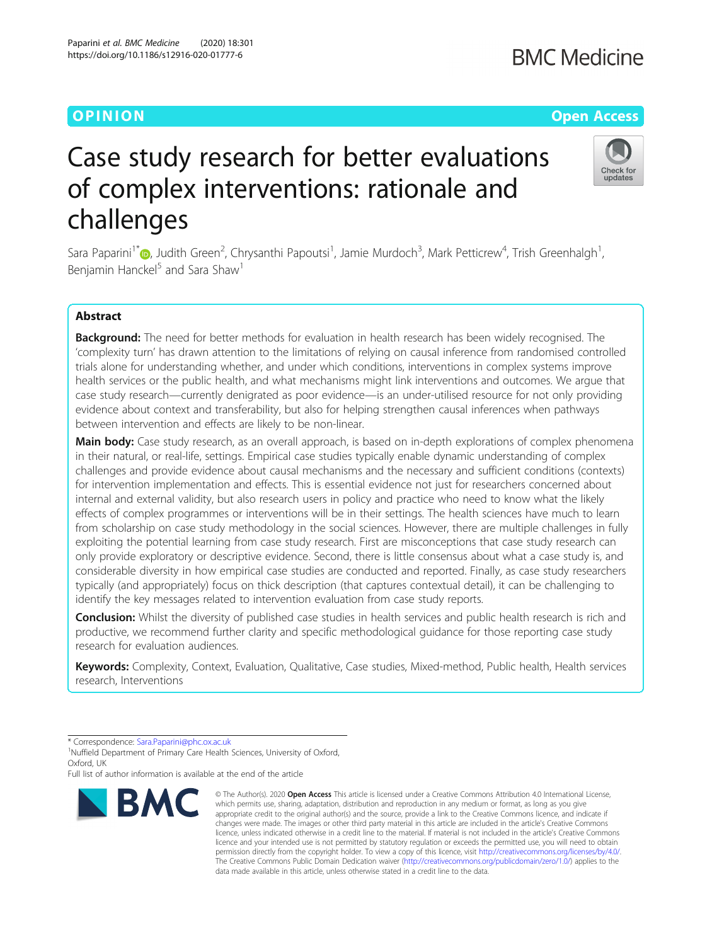# Case study research for better evaluations of complex interventions: rationale and challenges

Sara Paparini<sup>1\*</sup>®[,](http://orcid.org/0000-0002-1909-2481) Judith Green<sup>2</sup>, Chrysanthi Papoutsi<sup>1</sup>, Jamie Murdoch<sup>3</sup>, Mark Petticrew<sup>4</sup>, Trish Greenhalgh<sup>1</sup> , Benjamin Hanckel<sup>5</sup> and Sara Shaw<sup>1</sup>

### Abstract

Background: The need for better methods for evaluation in health research has been widely recognised. The 'complexity turn' has drawn attention to the limitations of relying on causal inference from randomised controlled trials alone for understanding whether, and under which conditions, interventions in complex systems improve health services or the public health, and what mechanisms might link interventions and outcomes. We argue that case study research—currently denigrated as poor evidence—is an under-utilised resource for not only providing evidence about context and transferability, but also for helping strengthen causal inferences when pathways between intervention and effects are likely to be non-linear.

Main body: Case study research, as an overall approach, is based on in-depth explorations of complex phenomena in their natural, or real-life, settings. Empirical case studies typically enable dynamic understanding of complex challenges and provide evidence about causal mechanisms and the necessary and sufficient conditions (contexts) for intervention implementation and effects. This is essential evidence not just for researchers concerned about internal and external validity, but also research users in policy and practice who need to know what the likely effects of complex programmes or interventions will be in their settings. The health sciences have much to learn from scholarship on case study methodology in the social sciences. However, there are multiple challenges in fully exploiting the potential learning from case study research. First are misconceptions that case study research can only provide exploratory or descriptive evidence. Second, there is little consensus about what a case study is, and considerable diversity in how empirical case studies are conducted and reported. Finally, as case study researchers typically (and appropriately) focus on thick description (that captures contextual detail), it can be challenging to identify the key messages related to intervention evaluation from case study reports.

Conclusion: Whilst the diversity of published case studies in health services and public health research is rich and productive, we recommend further clarity and specific methodological guidance for those reporting case study research for evaluation audiences.

Keywords: Complexity, Context, Evaluation, Qualitative, Case studies, Mixed-method, Public health, Health services research, Interventions

data made available in this article, unless otherwise stated in a credit line to the data.



<sup>©</sup> The Author(s), 2020 **Open Access** This article is licensed under a Creative Commons Attribution 4.0 International License, which permits use, sharing, adaptation, distribution and reproduction in any medium or format, as long as you give appropriate credit to the original author(s) and the source, provide a link to the Creative Commons licence, and indicate if changes were made. The images or other third party material in this article are included in the article's Creative Commons licence, unless indicated otherwise in a credit line to the material. If material is not included in the article's Creative Commons licence and your intended use is not permitted by statutory regulation or exceeds the permitted use, you will need to obtain permission directly from the copyright holder. To view a copy of this licence, visit [http://creativecommons.org/licenses/by/4.0/.](http://creativecommons.org/licenses/by/4.0/) The Creative Commons Public Domain Dedication waiver [\(http://creativecommons.org/publicdomain/zero/1.0/](http://creativecommons.org/publicdomain/zero/1.0/)) applies to the



## O PINION Open Access

<sup>\*</sup> Correspondence: [Sara.Paparini@phc.ox.ac.uk](mailto:Sara.Paparini@phc.ox.ac.uk) <sup>1</sup>

<sup>&</sup>lt;sup>1</sup>Nuffield Department of Primary Care Health Sciences, University of Oxford, Oxford, UK

Full list of author information is available at the end of the article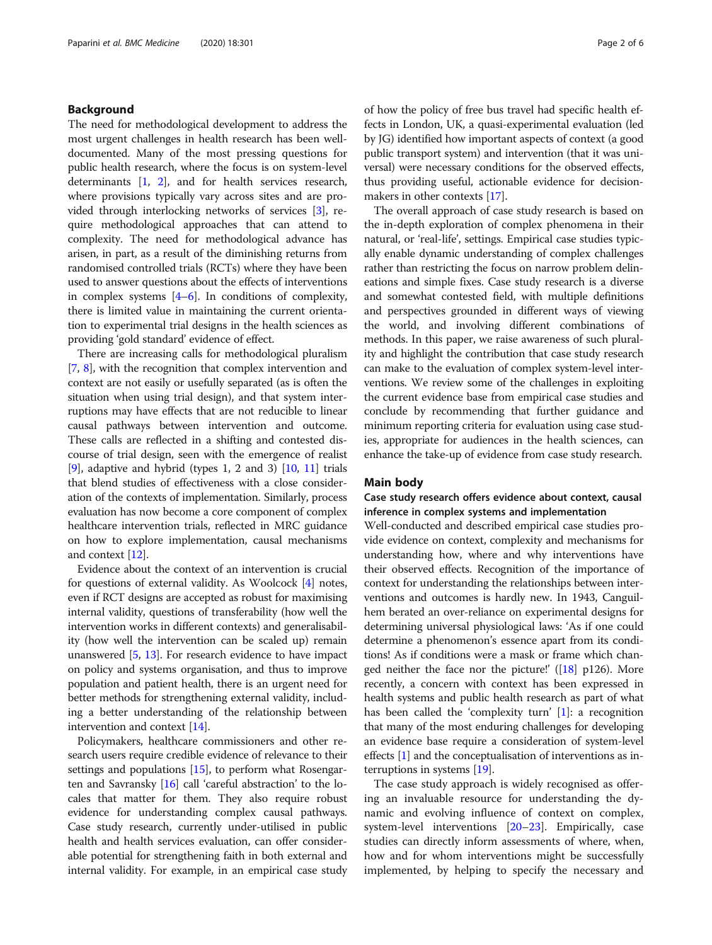#### Background

The need for methodological development to address the most urgent challenges in health research has been welldocumented. Many of the most pressing questions for public health research, where the focus is on system-level determinants [[1,](#page-4-0) [2\]](#page-4-0), and for health services research, where provisions typically vary across sites and are provided through interlocking networks of services [\[3](#page-4-0)], require methodological approaches that can attend to complexity. The need for methodological advance has arisen, in part, as a result of the diminishing returns from randomised controlled trials (RCTs) where they have been used to answer questions about the effects of interventions in complex systems [[4](#page-4-0)–[6](#page-4-0)]. In conditions of complexity, there is limited value in maintaining the current orientation to experimental trial designs in the health sciences as providing 'gold standard' evidence of effect.

There are increasing calls for methodological pluralism [[7,](#page-4-0) [8\]](#page-4-0), with the recognition that complex intervention and context are not easily or usefully separated (as is often the situation when using trial design), and that system interruptions may have effects that are not reducible to linear causal pathways between intervention and outcome. These calls are reflected in a shifting and contested discourse of trial design, seen with the emergence of realist  $[9]$  $[9]$ , adaptive and hybrid (types 1, 2 and 3)  $[10, 11]$  $[10, 11]$  $[10, 11]$  $[10, 11]$  trials that blend studies of effectiveness with a close consideration of the contexts of implementation. Similarly, process evaluation has now become a core component of complex healthcare intervention trials, reflected in MRC guidance on how to explore implementation, causal mechanisms and context [[12](#page-4-0)].

Evidence about the context of an intervention is crucial for questions of external validity. As Woolcock [[4](#page-4-0)] notes, even if RCT designs are accepted as robust for maximising internal validity, questions of transferability (how well the intervention works in different contexts) and generalisability (how well the intervention can be scaled up) remain unanswered [\[5,](#page-4-0) [13\]](#page-4-0). For research evidence to have impact on policy and systems organisation, and thus to improve population and patient health, there is an urgent need for better methods for strengthening external validity, including a better understanding of the relationship between intervention and context [\[14\]](#page-4-0).

Policymakers, healthcare commissioners and other research users require credible evidence of relevance to their settings and populations [[15](#page-4-0)], to perform what Rosengarten and Savransky [\[16\]](#page-4-0) call 'careful abstraction' to the locales that matter for them. They also require robust evidence for understanding complex causal pathways. Case study research, currently under-utilised in public health and health services evaluation, can offer considerable potential for strengthening faith in both external and internal validity. For example, in an empirical case study of how the policy of free bus travel had specific health effects in London, UK, a quasi-experimental evaluation (led by JG) identified how important aspects of context (a good public transport system) and intervention (that it was universal) were necessary conditions for the observed effects, thus providing useful, actionable evidence for decisionmakers in other contexts [[17](#page-4-0)].

The overall approach of case study research is based on the in-depth exploration of complex phenomena in their natural, or 'real-life', settings. Empirical case studies typically enable dynamic understanding of complex challenges rather than restricting the focus on narrow problem delineations and simple fixes. Case study research is a diverse and somewhat contested field, with multiple definitions and perspectives grounded in different ways of viewing the world, and involving different combinations of methods. In this paper, we raise awareness of such plurality and highlight the contribution that case study research can make to the evaluation of complex system-level interventions. We review some of the challenges in exploiting the current evidence base from empirical case studies and conclude by recommending that further guidance and minimum reporting criteria for evaluation using case studies, appropriate for audiences in the health sciences, can enhance the take-up of evidence from case study research.

#### Main body

#### Case study research offers evidence about context, causal inference in complex systems and implementation

Well-conducted and described empirical case studies provide evidence on context, complexity and mechanisms for understanding how, where and why interventions have their observed effects. Recognition of the importance of context for understanding the relationships between interventions and outcomes is hardly new. In 1943, Canguilhem berated an over-reliance on experimental designs for determining universal physiological laws: 'As if one could determine a phenomenon's essence apart from its conditions! As if conditions were a mask or frame which changed neither the face nor the picture!'  $([18]$  $([18]$  $([18]$  p126). More recently, a concern with context has been expressed in health systems and public health research as part of what has been called the 'complexity turn' [\[1\]](#page-4-0): a recognition that many of the most enduring challenges for developing an evidence base require a consideration of system-level effects [[1](#page-4-0)] and the conceptualisation of interventions as interruptions in systems [[19\]](#page-4-0).

The case study approach is widely recognised as offering an invaluable resource for understanding the dynamic and evolving influence of context on complex, system-level interventions [[20](#page-4-0)–[23](#page-4-0)]. Empirically, case studies can directly inform assessments of where, when, how and for whom interventions might be successfully implemented, by helping to specify the necessary and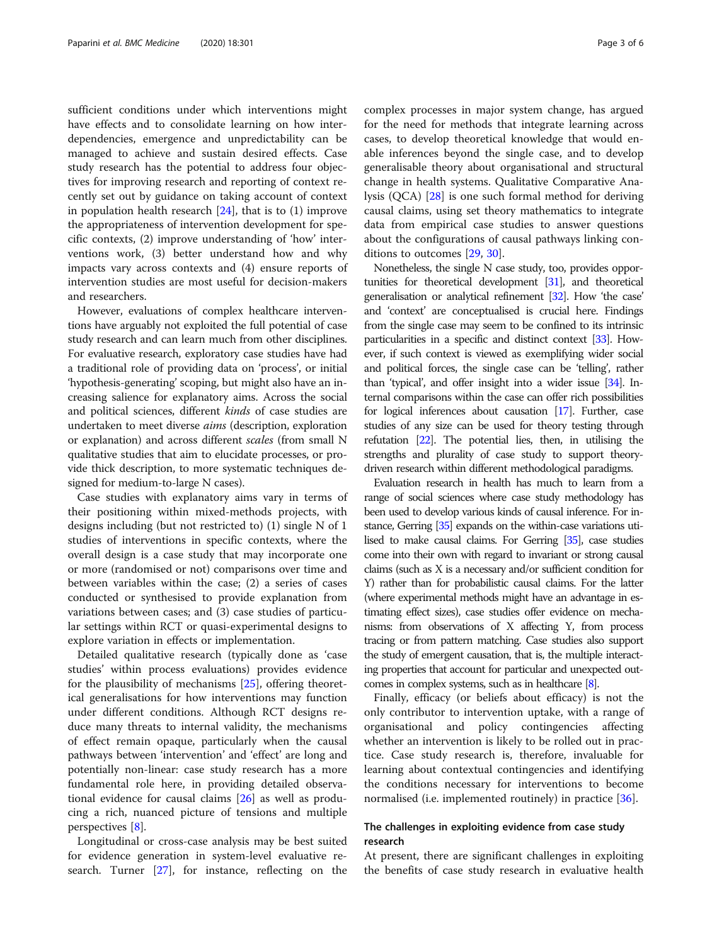sufficient conditions under which interventions might have effects and to consolidate learning on how interdependencies, emergence and unpredictability can be managed to achieve and sustain desired effects. Case study research has the potential to address four objectives for improving research and reporting of context recently set out by guidance on taking account of context in population health research [[24\]](#page-5-0), that is to (1) improve the appropriateness of intervention development for specific contexts, (2) improve understanding of 'how' interventions work, (3) better understand how and why impacts vary across contexts and (4) ensure reports of intervention studies are most useful for decision-makers and researchers.

However, evaluations of complex healthcare interventions have arguably not exploited the full potential of case study research and can learn much from other disciplines. For evaluative research, exploratory case studies have had a traditional role of providing data on 'process', or initial 'hypothesis-generating' scoping, but might also have an increasing salience for explanatory aims. Across the social and political sciences, different kinds of case studies are undertaken to meet diverse aims (description, exploration or explanation) and across different scales (from small N qualitative studies that aim to elucidate processes, or provide thick description, to more systematic techniques designed for medium-to-large N cases).

Case studies with explanatory aims vary in terms of their positioning within mixed-methods projects, with designs including (but not restricted to) (1) single N of 1 studies of interventions in specific contexts, where the overall design is a case study that may incorporate one or more (randomised or not) comparisons over time and between variables within the case; (2) a series of cases conducted or synthesised to provide explanation from variations between cases; and (3) case studies of particular settings within RCT or quasi-experimental designs to explore variation in effects or implementation.

Detailed qualitative research (typically done as 'case studies' within process evaluations) provides evidence for the plausibility of mechanisms [\[25\]](#page-5-0), offering theoretical generalisations for how interventions may function under different conditions. Although RCT designs reduce many threats to internal validity, the mechanisms of effect remain opaque, particularly when the causal pathways between 'intervention' and 'effect' are long and potentially non-linear: case study research has a more fundamental role here, in providing detailed observational evidence for causal claims [[26\]](#page-5-0) as well as producing a rich, nuanced picture of tensions and multiple perspectives [\[8](#page-4-0)].

Longitudinal or cross-case analysis may be best suited for evidence generation in system-level evaluative research. Turner [\[27\]](#page-5-0), for instance, reflecting on the complex processes in major system change, has argued for the need for methods that integrate learning across cases, to develop theoretical knowledge that would enable inferences beyond the single case, and to develop generalisable theory about organisational and structural change in health systems. Qualitative Comparative Analysis (QCA) [\[28](#page-5-0)] is one such formal method for deriving causal claims, using set theory mathematics to integrate data from empirical case studies to answer questions about the configurations of causal pathways linking conditions to outcomes [\[29](#page-5-0), [30](#page-5-0)].

Nonetheless, the single N case study, too, provides opportunities for theoretical development [[31\]](#page-5-0), and theoretical generalisation or analytical refinement [\[32](#page-5-0)]. How 'the case' and 'context' are conceptualised is crucial here. Findings from the single case may seem to be confined to its intrinsic particularities in a specific and distinct context [\[33](#page-5-0)]. However, if such context is viewed as exemplifying wider social and political forces, the single case can be 'telling', rather than 'typical', and offer insight into a wider issue [[34\]](#page-5-0). Internal comparisons within the case can offer rich possibilities for logical inferences about causation [[17\]](#page-4-0). Further, case studies of any size can be used for theory testing through refutation [\[22](#page-4-0)]. The potential lies, then, in utilising the strengths and plurality of case study to support theorydriven research within different methodological paradigms.

Evaluation research in health has much to learn from a range of social sciences where case study methodology has been used to develop various kinds of causal inference. For instance, Gerring [\[35\]](#page-5-0) expands on the within-case variations utilised to make causal claims. For Gerring [\[35](#page-5-0)], case studies come into their own with regard to invariant or strong causal claims (such as X is a necessary and/or sufficient condition for Y) rather than for probabilistic causal claims. For the latter (where experimental methods might have an advantage in estimating effect sizes), case studies offer evidence on mechanisms: from observations of X affecting Y, from process tracing or from pattern matching. Case studies also support the study of emergent causation, that is, the multiple interacting properties that account for particular and unexpected outcomes in complex systems, such as in healthcare [\[8\]](#page-4-0).

Finally, efficacy (or beliefs about efficacy) is not the only contributor to intervention uptake, with a range of organisational and policy contingencies affecting whether an intervention is likely to be rolled out in practice. Case study research is, therefore, invaluable for learning about contextual contingencies and identifying the conditions necessary for interventions to become normalised (i.e. implemented routinely) in practice [[36\]](#page-5-0).

#### The challenges in exploiting evidence from case study research

At present, there are significant challenges in exploiting the benefits of case study research in evaluative health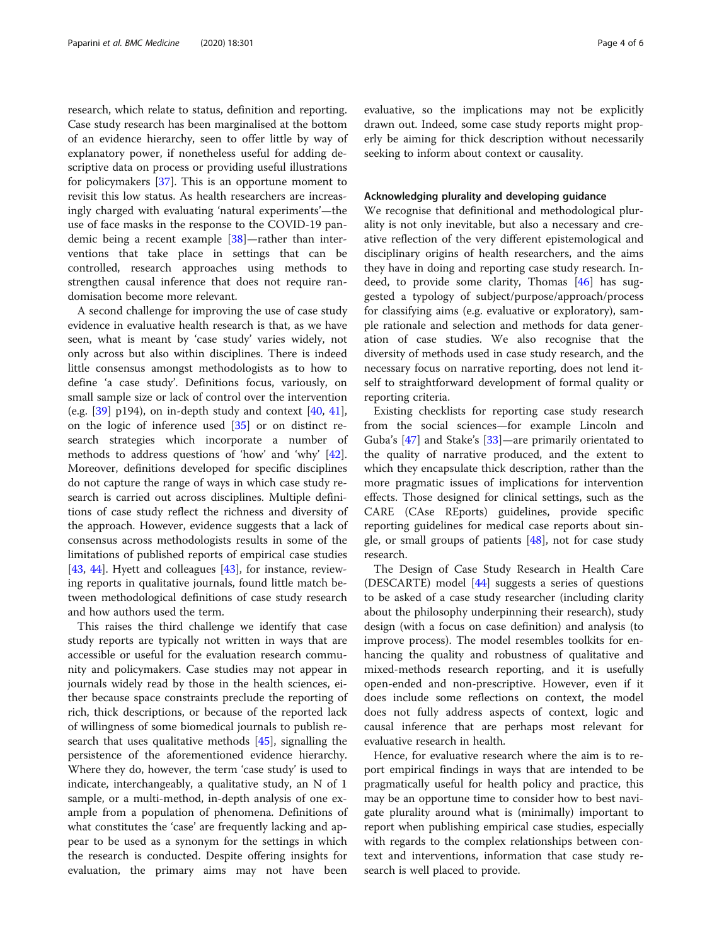research, which relate to status, definition and reporting. Case study research has been marginalised at the bottom of an evidence hierarchy, seen to offer little by way of explanatory power, if nonetheless useful for adding descriptive data on process or providing useful illustrations for policymakers [[37\]](#page-5-0). This is an opportune moment to revisit this low status. As health researchers are increasingly charged with evaluating 'natural experiments'—the use of face masks in the response to the COVID-19 pandemic being a recent example [[38](#page-5-0)]—rather than interventions that take place in settings that can be controlled, research approaches using methods to strengthen causal inference that does not require randomisation become more relevant.

A second challenge for improving the use of case study evidence in evaluative health research is that, as we have seen, what is meant by 'case study' varies widely, not only across but also within disciplines. There is indeed little consensus amongst methodologists as to how to define 'a case study'. Definitions focus, variously, on small sample size or lack of control over the intervention (e.g.  $[39]$  p194), on in-depth study and context  $[40, 41]$  $[40, 41]$  $[40, 41]$  $[40, 41]$  $[40, 41]$ , on the logic of inference used [\[35](#page-5-0)] or on distinct research strategies which incorporate a number of methods to address questions of 'how' and 'why' [\[42](#page-5-0)]. Moreover, definitions developed for specific disciplines do not capture the range of ways in which case study research is carried out across disciplines. Multiple definitions of case study reflect the richness and diversity of the approach. However, evidence suggests that a lack of consensus across methodologists results in some of the limitations of published reports of empirical case studies [[43,](#page-5-0) [44](#page-5-0)]. Hyett and colleagues [\[43](#page-5-0)], for instance, reviewing reports in qualitative journals, found little match between methodological definitions of case study research and how authors used the term.

This raises the third challenge we identify that case study reports are typically not written in ways that are accessible or useful for the evaluation research community and policymakers. Case studies may not appear in journals widely read by those in the health sciences, either because space constraints preclude the reporting of rich, thick descriptions, or because of the reported lack of willingness of some biomedical journals to publish research that uses qualitative methods [\[45\]](#page-5-0), signalling the persistence of the aforementioned evidence hierarchy. Where they do, however, the term 'case study' is used to indicate, interchangeably, a qualitative study, an N of 1 sample, or a multi-method, in-depth analysis of one example from a population of phenomena. Definitions of what constitutes the 'case' are frequently lacking and appear to be used as a synonym for the settings in which the research is conducted. Despite offering insights for evaluation, the primary aims may not have been

evaluative, so the implications may not be explicitly drawn out. Indeed, some case study reports might properly be aiming for thick description without necessarily seeking to inform about context or causality.

#### Acknowledging plurality and developing guidance

We recognise that definitional and methodological plurality is not only inevitable, but also a necessary and creative reflection of the very different epistemological and disciplinary origins of health researchers, and the aims they have in doing and reporting case study research. Indeed, to provide some clarity, Thomas [[46](#page-5-0)] has suggested a typology of subject/purpose/approach/process for classifying aims (e.g. evaluative or exploratory), sample rationale and selection and methods for data generation of case studies. We also recognise that the diversity of methods used in case study research, and the necessary focus on narrative reporting, does not lend itself to straightforward development of formal quality or reporting criteria.

Existing checklists for reporting case study research from the social sciences—for example Lincoln and Guba's [[47\]](#page-5-0) and Stake's [\[33](#page-5-0)]—are primarily orientated to the quality of narrative produced, and the extent to which they encapsulate thick description, rather than the more pragmatic issues of implications for intervention effects. Those designed for clinical settings, such as the CARE (CAse REports) guidelines, provide specific reporting guidelines for medical case reports about single, or small groups of patients [\[48](#page-5-0)], not for case study research.

The Design of Case Study Research in Health Care (DESCARTE) model [\[44](#page-5-0)] suggests a series of questions to be asked of a case study researcher (including clarity about the philosophy underpinning their research), study design (with a focus on case definition) and analysis (to improve process). The model resembles toolkits for enhancing the quality and robustness of qualitative and mixed-methods research reporting, and it is usefully open-ended and non-prescriptive. However, even if it does include some reflections on context, the model does not fully address aspects of context, logic and causal inference that are perhaps most relevant for evaluative research in health.

Hence, for evaluative research where the aim is to report empirical findings in ways that are intended to be pragmatically useful for health policy and practice, this may be an opportune time to consider how to best navigate plurality around what is (minimally) important to report when publishing empirical case studies, especially with regards to the complex relationships between context and interventions, information that case study research is well placed to provide.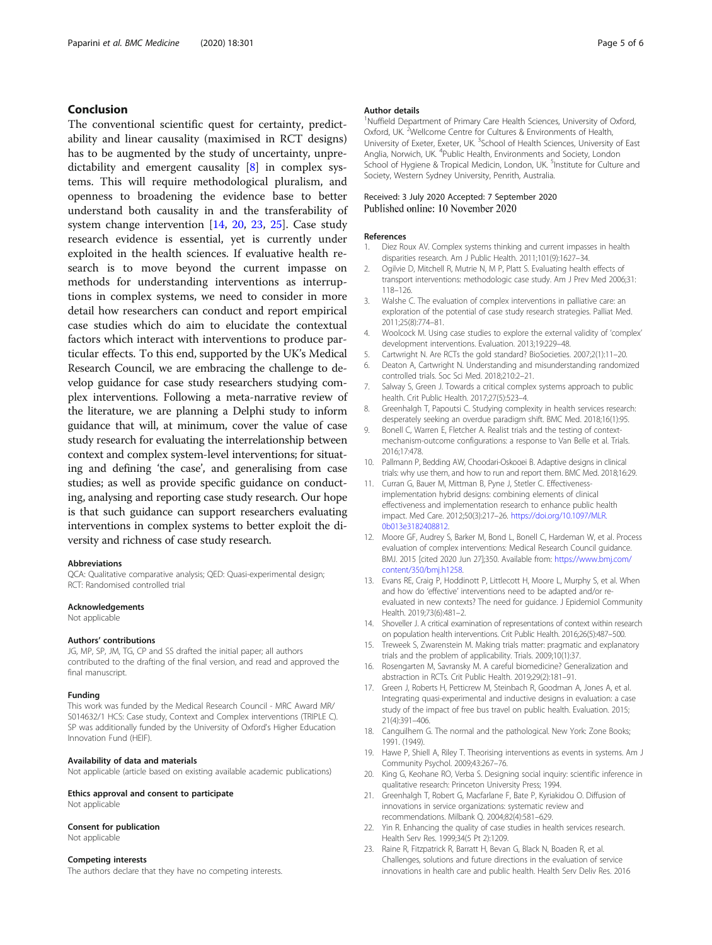#### <span id="page-4-0"></span>Conclusion

The conventional scientific quest for certainty, predictability and linear causality (maximised in RCT designs) has to be augmented by the study of uncertainty, unpredictability and emergent causality [8] in complex systems. This will require methodological pluralism, and openness to broadening the evidence base to better understand both causality in and the transferability of system change intervention [14, 20, 23, [25](#page-5-0)]. Case study research evidence is essential, yet is currently under exploited in the health sciences. If evaluative health research is to move beyond the current impasse on methods for understanding interventions as interruptions in complex systems, we need to consider in more detail how researchers can conduct and report empirical case studies which do aim to elucidate the contextual factors which interact with interventions to produce particular effects. To this end, supported by the UK's Medical Research Council, we are embracing the challenge to develop guidance for case study researchers studying complex interventions. Following a meta-narrative review of the literature, we are planning a Delphi study to inform guidance that will, at minimum, cover the value of case study research for evaluating the interrelationship between context and complex system-level interventions; for situating and defining 'the case', and generalising from case studies; as well as provide specific guidance on conducting, analysing and reporting case study research. Our hope is that such guidance can support researchers evaluating interventions in complex systems to better exploit the diversity and richness of case study research.

#### Abbreviations

QCA: Qualitative comparative analysis; QED: Quasi-experimental design; RCT: Randomised controlled trial

#### Acknowledgements

Not applicable

#### Authors' contributions

JG, MP, SP, JM, TG, CP and SS drafted the initial paper; all authors contributed to the drafting of the final version, and read and approved the final manuscript.

#### Funding

This work was funded by the Medical Research Council - MRC Award MR/ S014632/1 HCS: Case study, Context and Complex interventions (TRIPLE C). SP was additionally funded by the University of Oxford's Higher Education Innovation Fund (HEIF).

#### Availability of data and materials

Not applicable (article based on existing available academic publications)

Ethics approval and consent to participate Not applicable

#### Consent for publication

Not applicable

#### Competing interests

The authors declare that they have no competing interests.

#### Author details

<sup>1</sup>Nuffield Department of Primary Care Health Sciences, University of Oxford Oxford, UK. <sup>2</sup>Wellcome Centre for Cultures & Environments of Health, University of Exeter, Exeter, UK. <sup>3</sup>School of Health Sciences, University of East Anglia, Norwich, UK. <sup>4</sup>Public Health, Environments and Society, London School of Hygiene & Tropical Medicin, London, UK.<sup>5</sup> Institute for Culture and Society, Western Sydney University, Penrith, Australia.

## Received: 3 July 2020 Accepted: 7 September 2020

#### References

- 1. Diez Roux AV. Complex systems thinking and current impasses in health disparities research. Am J Public Health. 2011;101(9):1627–34.
- 2. Ogilvie D, Mitchell R, Mutrie N, M P, Platt S. Evaluating health effects of transport interventions: methodologic case study. Am J Prev Med 2006;31: 118–126.
- 3. Walshe C. The evaluation of complex interventions in palliative care: an exploration of the potential of case study research strategies. Palliat Med. 2011;25(8):774–81.
- 4. Woolcock M. Using case studies to explore the external validity of 'complex' development interventions. Evaluation. 2013;19:229–48.
- 5. Cartwright N. Are RCTs the gold standard? BioSocieties. 2007;2(1):11–20.
- 6. Deaton A, Cartwright N. Understanding and misunderstanding randomized controlled trials. Soc Sci Med. 2018;210:2–21.
- 7. Salway S, Green J. Towards a critical complex systems approach to public health. Crit Public Health. 2017;27(5):523–4.
- 8. Greenhalgh T, Papoutsi C. Studying complexity in health services research: desperately seeking an overdue paradigm shift. BMC Med. 2018;16(1):95.
- 9. Bonell C, Warren E, Fletcher A. Realist trials and the testing of contextmechanism-outcome configurations: a response to Van Belle et al. Trials. 2016;17:478.
- 10. Pallmann P, Bedding AW, Choodari-Oskooei B. Adaptive designs in clinical trials: why use them, and how to run and report them. BMC Med. 2018;16:29.
- 11. Curran G, Bauer M, Mittman B, Pyne J, Stetler C. Effectivenessimplementation hybrid designs: combining elements of clinical effectiveness and implementation research to enhance public health impact. Med Care. 2012;50(3):217–26. [https://doi.org/10.1097/MLR.](https://doi.org/10.1097/MLR.0b013e3182408812) [0b013e3182408812.](https://doi.org/10.1097/MLR.0b013e3182408812)
- 12. Moore GF, Audrey S, Barker M, Bond L, Bonell C, Hardeman W, et al. Process evaluation of complex interventions: Medical Research Council guidance. BMJ. 2015 [cited 2020 Jun 27];350. Available from: [https://www.bmj.com/](https://www.bmj.com/content/350/bmj.h1258) [content/350/bmj.h1258.](https://www.bmj.com/content/350/bmj.h1258)
- 13. Evans RE, Craig P, Hoddinott P, Littlecott H, Moore L, Murphy S, et al. When and how do 'effective' interventions need to be adapted and/or reevaluated in new contexts? The need for guidance. J Epidemiol Community Health. 2019;73(6):481–2.
- 14. Shoveller J. A critical examination of representations of context within research on population health interventions. Crit Public Health. 2016;26(5):487–500.
- 15. Treweek S, Zwarenstein M. Making trials matter: pragmatic and explanatory trials and the problem of applicability. Trials. 2009;10(1):37.
- 16. Rosengarten M, Savransky M. A careful biomedicine? Generalization and abstraction in RCTs. Crit Public Health. 2019;29(2):181–91.
- 17. Green J, Roberts H, Petticrew M, Steinbach R, Goodman A, Jones A, et al. Integrating quasi-experimental and inductive designs in evaluation: a case study of the impact of free bus travel on public health. Evaluation. 2015; 21(4):391–406.
- 18. Canguilhem G. The normal and the pathological. New York: Zone Books; 1991. (1949).
- 19. Hawe P, Shiell A, Riley T. Theorising interventions as events in systems. Am J Community Psychol. 2009;43:267–76.
- 20. King G, Keohane RO, Verba S. Designing social inquiry: scientific inference in qualitative research: Princeton University Press; 1994.
- 21. Greenhalgh T, Robert G, Macfarlane F, Bate P, Kyriakidou O. Diffusion of innovations in service organizations: systematic review and recommendations. Milbank Q. 2004;82(4):581–629.
- 22. Yin R. Enhancing the quality of case studies in health services research. Health Serv Res. 1999;34(5 Pt 2):1209.
- 23. Raine R, Fitzpatrick R, Barratt H, Bevan G, Black N, Boaden R, et al. Challenges, solutions and future directions in the evaluation of service innovations in health care and public health. Health Serv Deliv Res. 2016